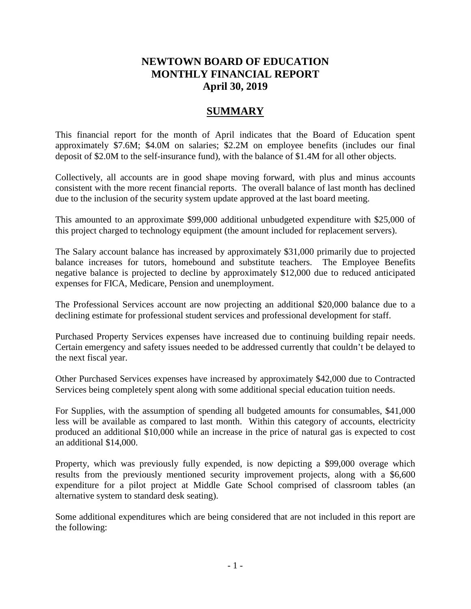# **NEWTOWN BOARD OF EDUCATION MONTHLY FINANCIAL REPORT April 30, 2019**

# **SUMMARY**

This financial report for the month of April indicates that the Board of Education spent approximately \$7.6M; \$4.0M on salaries; \$2.2M on employee benefits (includes our final deposit of \$2.0M to the self-insurance fund), with the balance of \$1.4M for all other objects.

Collectively, all accounts are in good shape moving forward, with plus and minus accounts consistent with the more recent financial reports. The overall balance of last month has declined due to the inclusion of the security system update approved at the last board meeting.

This amounted to an approximate \$99,000 additional unbudgeted expenditure with \$25,000 of this project charged to technology equipment (the amount included for replacement servers).

The Salary account balance has increased by approximately \$31,000 primarily due to projected balance increases for tutors, homebound and substitute teachers. The Employee Benefits negative balance is projected to decline by approximately \$12,000 due to reduced anticipated expenses for FICA, Medicare, Pension and unemployment.

The Professional Services account are now projecting an additional \$20,000 balance due to a declining estimate for professional student services and professional development for staff.

Purchased Property Services expenses have increased due to continuing building repair needs. Certain emergency and safety issues needed to be addressed currently that couldn't be delayed to the next fiscal year.

Other Purchased Services expenses have increased by approximately \$42,000 due to Contracted Services being completely spent along with some additional special education tuition needs.

For Supplies, with the assumption of spending all budgeted amounts for consumables, \$41,000 less will be available as compared to last month. Within this category of accounts, electricity produced an additional \$10,000 while an increase in the price of natural gas is expected to cost an additional \$14,000.

Property, which was previously fully expended, is now depicting a \$99,000 overage which results from the previously mentioned security improvement projects, along with a \$6,600 expenditure for a pilot project at Middle Gate School comprised of classroom tables (an alternative system to standard desk seating).

Some additional expenditures which are being considered that are not included in this report are the following: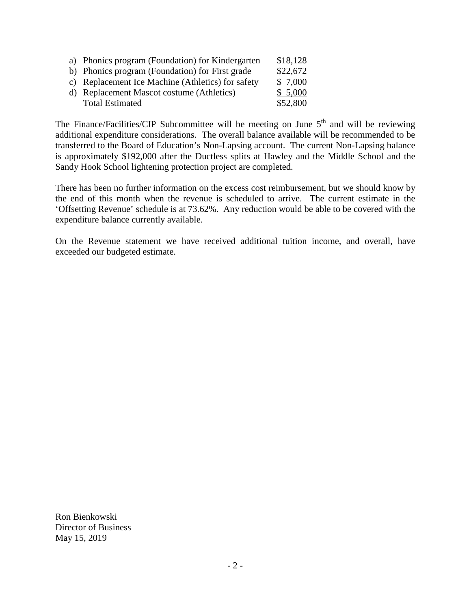| a) Phonics program (Foundation) for Kindergarten  | \$18,128 |
|---------------------------------------------------|----------|
| b) Phonics program (Foundation) for First grade   | \$22,672 |
| c) Replacement Ice Machine (Athletics) for safety | \$ 7,000 |
| d) Replacement Mascot costume (Athletics)         | \$5,000  |
| <b>Total Estimated</b>                            | \$52,800 |

The Finance/Facilities/CIP Subcommittee will be meeting on June  $5<sup>th</sup>$  and will be reviewing additional expenditure considerations. The overall balance available will be recommended to be transferred to the Board of Education's Non-Lapsing account. The current Non-Lapsing balance is approximately \$192,000 after the Ductless splits at Hawley and the Middle School and the Sandy Hook School lightening protection project are completed.

There has been no further information on the excess cost reimbursement, but we should know by the end of this month when the revenue is scheduled to arrive. The current estimate in the 'Offsetting Revenue' schedule is at 73.62%. Any reduction would be able to be covered with the expenditure balance currently available.

On the Revenue statement we have received additional tuition income, and overall, have exceeded our budgeted estimate.

Ron Bienkowski Director of Business May 15, 2019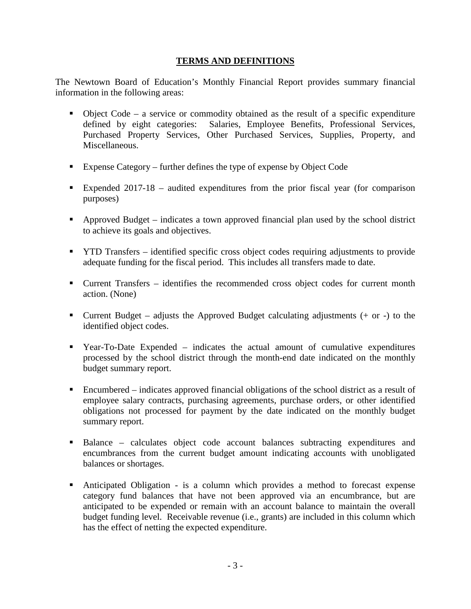## **TERMS AND DEFINITIONS**

The Newtown Board of Education's Monthly Financial Report provides summary financial information in the following areas:

- $\bullet$  Object Code a service or commodity obtained as the result of a specific expenditure defined by eight categories: Salaries, Employee Benefits, Professional Services, Purchased Property Services, Other Purchased Services, Supplies, Property, and Miscellaneous.
- Expense Category further defines the type of expense by Object Code
- Expended 2017-18 audited expenditures from the prior fiscal year (for comparison purposes)
- Approved Budget indicates a town approved financial plan used by the school district to achieve its goals and objectives.
- YTD Transfers identified specific cross object codes requiring adjustments to provide adequate funding for the fiscal period. This includes all transfers made to date.
- Current Transfers identifies the recommended cross object codes for current month action. (None)
- **Current Budget** adjusts the Approved Budget calculating adjustments  $(+)$  or  $-)$  to the identified object codes.
- Year-To-Date Expended indicates the actual amount of cumulative expenditures processed by the school district through the month-end date indicated on the monthly budget summary report.
- Encumbered indicates approved financial obligations of the school district as a result of employee salary contracts, purchasing agreements, purchase orders, or other identified obligations not processed for payment by the date indicated on the monthly budget summary report.
- Balance calculates object code account balances subtracting expenditures and encumbrances from the current budget amount indicating accounts with unobligated balances or shortages.
- Anticipated Obligation is a column which provides a method to forecast expense category fund balances that have not been approved via an encumbrance, but are anticipated to be expended or remain with an account balance to maintain the overall budget funding level. Receivable revenue (i.e., grants) are included in this column which has the effect of netting the expected expenditure.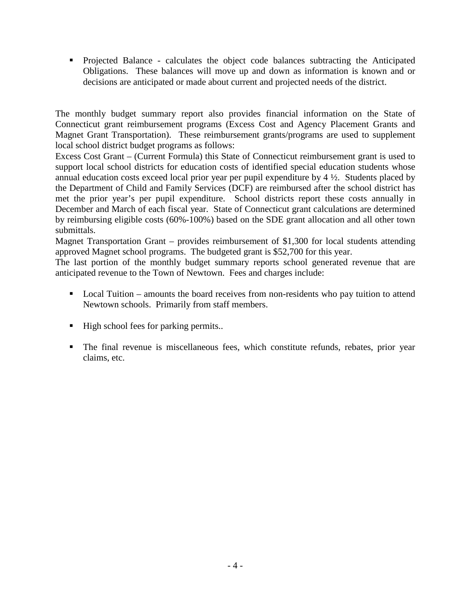Projected Balance - calculates the object code balances subtracting the Anticipated Obligations. These balances will move up and down as information is known and or decisions are anticipated or made about current and projected needs of the district.

The monthly budget summary report also provides financial information on the State of Connecticut grant reimbursement programs (Excess Cost and Agency Placement Grants and Magnet Grant Transportation). These reimbursement grants/programs are used to supplement local school district budget programs as follows:

Excess Cost Grant – (Current Formula) this State of Connecticut reimbursement grant is used to support local school districts for education costs of identified special education students whose annual education costs exceed local prior year per pupil expenditure by 4 ½. Students placed by the Department of Child and Family Services (DCF) are reimbursed after the school district has met the prior year's per pupil expenditure. School districts report these costs annually in December and March of each fiscal year. State of Connecticut grant calculations are determined by reimbursing eligible costs (60%-100%) based on the SDE grant allocation and all other town submittals.

Magnet Transportation Grant – provides reimbursement of \$1,300 for local students attending approved Magnet school programs. The budgeted grant is \$52,700 for this year.

The last portion of the monthly budget summary reports school generated revenue that are anticipated revenue to the Town of Newtown. Fees and charges include:

- Local Tuition amounts the board receives from non-residents who pay tuition to attend Newtown schools. Primarily from staff members.
- $\blacksquare$  High school fees for parking permits..
- The final revenue is miscellaneous fees, which constitute refunds, rebates, prior year claims, etc.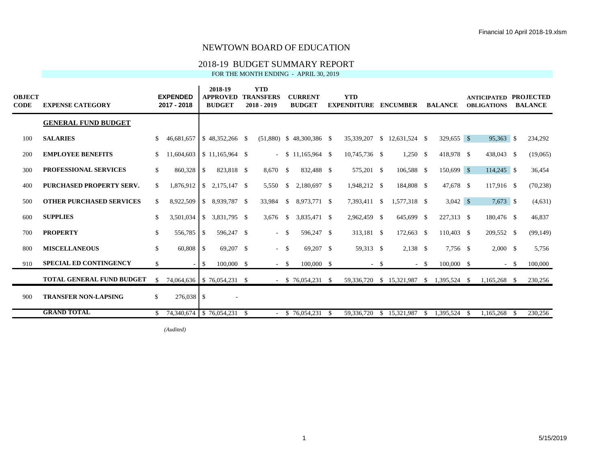## 2018-19 BUDGET SUMMARY REPORT

FOR THE MONTH ENDING - APRIL 30, 2019

| <b>OBJECT</b><br><b>CODE</b> | <b>EXPENSE CATEGORY</b>          |     | <b>EXPENDED</b><br>2017 - 2018 |               | 2018-19<br><b>APPROVED</b><br><b>BUDGET</b> | <b>YTD</b><br><b>TRANSFERS</b><br>2018 - 2019 |      | <b>CURRENT</b><br><b>BUDGET</b> |            | <b>YTD</b><br><b>EXPENDITURE</b> |        | <b>ENCUMBER</b>             |        | <b>BALANCE</b> |      | <b>ANTICIPATED PROJECTED</b><br><b>OBLIGATIONS</b> |              | <b>BALANCE</b> |
|------------------------------|----------------------------------|-----|--------------------------------|---------------|---------------------------------------------|-----------------------------------------------|------|---------------------------------|------------|----------------------------------|--------|-----------------------------|--------|----------------|------|----------------------------------------------------|--------------|----------------|
|                              | <b>GENERAL FUND BUDGET</b>       |     |                                |               |                                             |                                               |      |                                 |            |                                  |        |                             |        |                |      |                                                    |              |                |
| 100                          | <b>SALARIES</b>                  | \$. | 46,681,657                     |               | $$48,352,266$ \, \$                         |                                               |      | $(51,880)$ \$ 48,300,386 \$     |            | 35,339,207                       |        | $$12,631,524$ \\$           |        | 329,655 \$     |      | 95,363 \$                                          |              | 234,292        |
| 200                          | <b>EMPLOYEE BENEFITS</b>         |     | 11,604,603                     |               | $$11.165.964$ \ \$                          |                                               |      | $-$ \$ 11,165,964 \$            |            | 10,745,736 \$                    |        | $1,250$ \$                  |        | 418,978 \$     |      | 438,043 \$                                         |              | (19,065)       |
| 300                          | <b>PROFESSIONAL SERVICES</b>     | \$  | 860,328                        | -S            | 823,818 \$                                  | 8,670 \$                                      |      | 832,488 \$                      |            | 575,201 \$                       |        | 106,588 \$                  |        | 150,699 \$     |      | $114,245$ \$                                       |              | 36,454         |
| 400                          | <b>PURCHASED PROPERTY SERV.</b>  | \$. | 1,876,912                      | <sup>\$</sup> | 2,175,147 \$                                | 5.550                                         | - S  | 2.180.697 \$                    |            | 1,948,212 \$                     |        | 184,808 \$                  |        | 47,678 \$      |      | 117,916 \$                                         |              | (70, 238)      |
| 500                          | <b>OTHER PURCHASED SERVICES</b>  | \$  | 8,922,509                      | <sup>\$</sup> | 8,939,787 \$                                | 33,984                                        | -S   | 8,973,771 \$                    |            | 7,393,411 \$                     |        | 1,577,318 \$                |        | $3,042$ \$     |      | $7,673$ \$                                         |              | (4,631)        |
| 600                          | <b>SUPPLIES</b>                  | \$  | 3,501,034                      | <sup>\$</sup> | 3,831,795 \$                                | 3,676                                         | - \$ | 3,835,471 \$                    |            | 2,962,459 \$                     |        | 645,699 \$                  |        | 227,313 \$     |      | 180,476 \$                                         |              | 46,837         |
| 700                          | <b>PROPERTY</b>                  | \$  | 556,785                        | - \$          | 596,247 \$                                  | $-$ \$                                        |      | 596,247 \$                      |            | 313,181 \$                       |        | 172,663 \$                  |        | 110,403 \$     |      | 209,552 \$                                         |              | (99, 149)      |
| 800                          | <b>MISCELLANEOUS</b>             | \$  | $60,808$ \$                    |               | 69,207 \$                                   | $-$ \$                                        |      | 69,207 \$                       |            | 59,313 \$                        |        | $2,138$ \$                  |        | 7,756 \$       |      | 2,000 S                                            |              | 5,756          |
| 910                          | <b>SPECIAL ED CONTINGENCY</b>    | \$  |                                | -S            | 100,000 \$                                  | $-$ \$                                        |      | $100,000$ \$                    |            |                                  | $-$ \$ |                             | $-$ \$ | 100,000 \$     |      |                                                    | $-$ \$       | 100,000        |
|                              | <b>TOTAL GENERAL FUND BUDGET</b> | \$. | 74,064,636   \$76,054,231 \$   |               |                                             |                                               |      | $-$ \$ 76,054,231 \$            |            |                                  |        | 59,336,720 \$ 15,321,987 \$ |        | 1,395,524 \$   |      | 1,165,268 \$                                       |              | 230,256        |
| 900                          | <b>TRANSFER NON-LAPSING</b>      | \$  | $276,038$ \$                   |               | $\sim$                                      |                                               |      |                                 |            |                                  |        |                             |        |                |      |                                                    |              |                |
|                              | <b>GRAND TOTAL</b>               |     | $$74,340,674$ $$76,054,231$ \$ |               |                                             |                                               |      | \$76,054,231                    | $^{\circ}$ | 59,336,720                       |        | \$15,321,987                | -S     | 1,395,524      | - \$ | 1.165.268                                          | $\mathbf{s}$ | 230,256        |

*(Audited)* \$ (7,583,273) March \$ 395,193 Last month \$ 395,193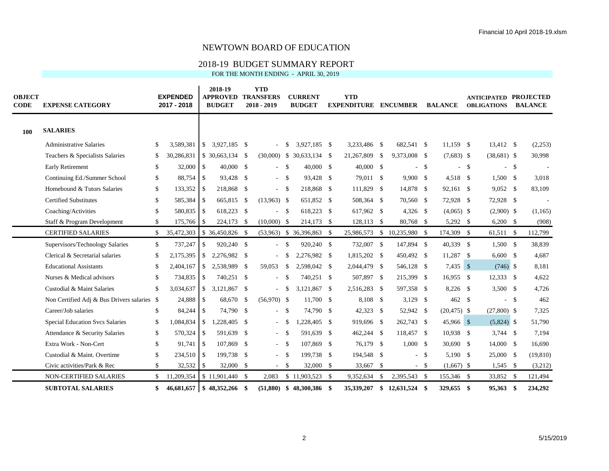## 2018-19 BUDGET SUMMARY REPORT

| FOR THE MONTH ENDING - APRIL 30, 2019 |  |
|---------------------------------------|--|
|                                       |  |

| <b>OBJECT</b><br><b>CODE</b> | <b>EXPENSE CATEGORY</b>                     |              | <b>EXPENDED</b><br>2017 - 2018 |               | 2018-19<br><b>APPROVED TRANSFERS</b><br><b>BUDGET</b> | <b>YTD</b><br>$2018 - 2019$ |                    | <b>CURRENT</b><br><b>BUDGET</b> | <b>YTD</b><br><b>EXPENDITURE ENCUMBER</b> |          |                   |        | <b>BALANCE</b> |        | <b>ANTICIPATED PROJECTED</b><br><b>OBLIGATIONS</b> |      | <b>BALANCE</b> |
|------------------------------|---------------------------------------------|--------------|--------------------------------|---------------|-------------------------------------------------------|-----------------------------|--------------------|---------------------------------|-------------------------------------------|----------|-------------------|--------|----------------|--------|----------------------------------------------------|------|----------------|
| 100                          | <b>SALARIES</b>                             |              |                                |               |                                                       |                             |                    |                                 |                                           |          |                   |        |                |        |                                                    |      |                |
|                              | <b>Administrative Salaries</b>              | \$           | 3,589,381                      | $\mathbb{S}$  | 3.927.185 \$                                          |                             | -\$                | 3.927.185 \$                    | 3.233.486 \$                              |          | 682.541 \$        |        | $11.159$ \$    |        | 13,412 \$                                          |      | (2,253)        |
|                              | Teachers & Specialists Salaries             | \$           | 30,286,831                     |               | $$30,663,134$ \\$                                     |                             |                    | $(30,000)$ \$ 30,633,134 \$     | 21,267,809                                | -S       | 9,373,008 \$      |        | $(7,683)$ \$   |        | $(38,681)$ \$                                      |      | 30,998         |
|                              | <b>Early Retirement</b>                     | $\mathbb{S}$ | 32,000 \$                      |               | $40,000$ \$                                           | $\sim$                      | - \$               | $40,000$ \$                     | $40,000$ \$                               |          | $\sim$            | -S     |                | $-$ \$ | $-$ \$                                             |      |                |
|                              | Continuing Ed./Summer School                | \$           | 88,754 \$                      |               | 93,428 \$                                             | $-5$                        |                    | 93,428 \$                       | 79,011 \$                                 |          | 9,900 \$          |        | $4,518$ \$     |        | $1,500$ \$                                         |      | 3,018          |
|                              | Homebound & Tutors Salaries                 | \$           | $133,352$ \$                   |               | 218,868 \$                                            | $-$ \$                      |                    | 218,868 \$                      | 111,829 \$                                |          | 14,878 \$         |        | 92,161 \$      |        | $9,052$ \$                                         |      | 83,109         |
|                              | <b>Certified Substitutes</b>                | \$           | 585,384 \$                     |               | 665,815 \$                                            | $(13,963)$ \$               |                    | 651,852 \$                      | 508,364 \$                                |          | 70,560 \$         |        | 72,928 \$      |        | 72,928 \$                                          |      |                |
|                              | Coaching/Activities                         | $\mathbb{S}$ | 580,835 \$                     |               | 618,223 \$                                            | ÷.                          | $\mathbf{\hat{s}}$ | 618,223 \$                      | 617,962 \$                                |          | $4,326$ \$        |        | $(4,065)$ \$   |        | $(2,900)$ \$                                       |      | (1, 165)       |
|                              | Staff & Program Development                 | $\mathbb{S}$ | 175,766 \$                     |               | 224,173 \$                                            | $(10,000)$ \$               |                    | 214,173 \$                      | 128,113 \$                                |          | 80,768 \$         |        | 5,292 \$       |        | $6,200$ \$                                         |      | (908)          |
|                              | <b>CERTIFIED SALARIES</b>                   | \$           | 35,472,303                     |               | $$36,450,826$ \\$                                     |                             |                    | $(53,963)$ \$ 36,396,863 \$     | 25,986,573                                |          | $$10,235,980$ \\$ |        | 174,309 \$     |        | 61,511 \$                                          |      | 112,799        |
|                              | Supervisors/Technology Salaries             | $\mathbb{S}$ | 737,247                        | <sup>\$</sup> | 920,240 \$                                            | $-5$                        |                    | 920,240 \$                      | 732,007 \$                                |          | 147,894 \$        |        | 40,339 \$      |        | 1,500S                                             |      | 38,839         |
|                              | Clerical & Secretarial salaries             | $\mathbb{S}$ | $2,175,395$ \$                 |               | 2,276,982 \$                                          | $-5$                        |                    | 2,276,982 \$                    | 1,815,202 \$                              |          | 450,492 \$        |        | $11,287$ \$    |        | $6,600$ \$                                         |      | 4,687          |
|                              | <b>Educational Assistants</b>               | \$           | 2,404,167                      | $\mathbb{S}$  | 2,538,989 \$                                          | 59,053                      | - \$               | 2,598,042 \$                    | 2,044,479 \$                              |          | 546,128 \$        |        | $7,435$ \$     |        | $(746)$ \$                                         |      | 8,181          |
|                              | Nurses & Medical advisors                   | \$           | 734,835 \$                     |               | 740.251 \$                                            | ÷.                          | - \$               | 740.251 \$                      | 507,897 \$                                |          | 215,399 \$        |        | $16,955$ \$    |        | $12,333$ \$                                        |      | 4,622          |
|                              | Custodial & Maint Salaries                  | \$           | $3,034,637$ \$                 |               | 3,121,867 \$                                          | $-$ \$                      |                    | 3,121,867 \$                    | 2,516,283 \$                              |          | 597,358 \$        |        | 8,226 \$       |        | $3,500$ \$                                         |      | 4,726          |
|                              | Non Certified Adj & Bus Drivers salaries \$ |              | 24,888 \$                      |               | 68,670 \$                                             | $(56,970)$ \$               |                    | 11,700 \$                       | 8,108 \$                                  |          | $3,129$ \$        |        | 462 \$         |        | $-$ \$                                             |      | 462            |
|                              | Career/Job salaries                         | \$           | 84,244 \$                      |               | 74,790 \$                                             | $-$ \$                      |                    | 74,790 \$                       | $42,323$ \$                               |          | 52,942 \$         |        | $(20, 475)$ \$ |        | $(27,800)$ \$                                      |      | 7,325          |
|                              | <b>Special Education Svcs Salaries</b>      | \$           | $1,084,834$ \$                 |               | 1,228,405 \$                                          | $-5$                        |                    | $.228.405$ \$                   | 919,696 \$                                |          | 262,743 \$        |        | 45,966 \$      |        | $(5,824)$ \$                                       |      | 51,790         |
|                              | Attendance & Security Salaries              | \$           | $570,324$ \$                   |               | 591,639 \$                                            | $-$ \$                      |                    | 591,639 \$                      | 462,244 \$                                |          | 118,457 \$        |        | $10,938$ \$    |        | $3,744$ \$                                         |      | 7,194          |
|                              | Extra Work - Non-Cert                       | $\mathbb{S}$ | $91,741$ \$                    |               | 107,869 \$                                            | $-$ \$                      |                    | 107,869 \$                      | 76,179 \$                                 |          | 1,000S            |        | 30,690 \$      |        | 14,000 \$                                          |      | 16,690         |
|                              | Custodial & Maint. Overtime                 | $\mathbb{S}$ | 234,510 \$                     |               | 199,738 \$                                            | $-$ \$                      |                    | 199,738 \$                      | 194,548 \$                                |          |                   | $-$ \$ | 5,190 \$       |        | 25,000 \$                                          |      | (19, 810)      |
|                              | Civic activities/Park & Rec                 | \$           |                                |               | 32,000 \$                                             | $-$ \$                      |                    | 32,000 \$                       | 33,667 \$                                 |          |                   | $-$ \$ | $(1,667)$ \$   |        | $1,545$ \$                                         |      | (3,212)        |
|                              | NON-CERTIFIED SALARIES                      | \$           | 11,209,354 \$ 11,901,440 \$    |               |                                                       | 2,083                       |                    | $$11,903,523$ \\$               | 9,352,634                                 | <b>S</b> | 2,395,543 \$      |        | 155,346 \$     |        | 33,852 \$                                          |      | 121,494        |
|                              | <b>SUBTOTAL SALARIES</b>                    | \$           | 46,681,657                     |               |                                                       |                             |                    | $(51,880)$ \$ 48,300,386 \$     | 35,339,207                                |          | $$12,631,524$ \\$ |        | 329,655 \$     |        | 95,363                                             | - \$ | 234,292        |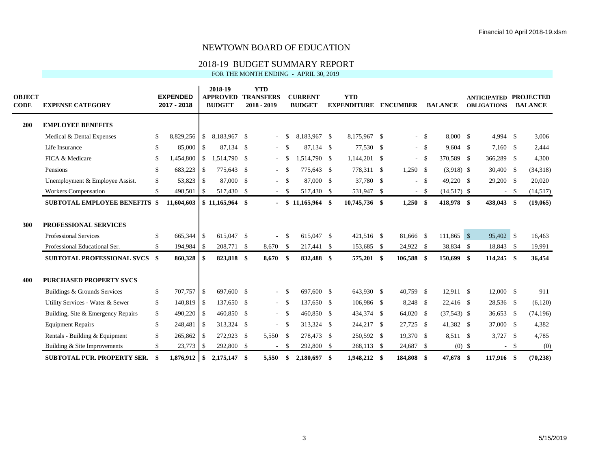### 2018-19 BUDGET SUMMARY REPORT

FOR THE MONTH ENDING - APRIL 30, 2019

| <b>OBJECT</b><br><b>CODE</b> | <b>EXPENSE CATEGORY</b>              | <b>EXPENDED</b><br>2017 - 2018 |                | 2018-19<br><b>APPROVED</b><br><b>BUDGET</b> |     | <b>YTD</b><br><b>TRANSFERS</b><br>$2018 - 2019$ |               | <b>CURRENT</b><br><b>BUDGET</b> | <b>YTD</b><br><b>EXPENDITURE</b> | <b>ENCUMBER</b> |        | <b>BALANCE</b> | <b>ANTICIPATED PROJECTED</b><br><b>OBLIGATIONS</b> |        | <b>BALANCE</b> |
|------------------------------|--------------------------------------|--------------------------------|----------------|---------------------------------------------|-----|-------------------------------------------------|---------------|---------------------------------|----------------------------------|-----------------|--------|----------------|----------------------------------------------------|--------|----------------|
| 200                          | <b>EMPLOYEE BENEFITS</b>             |                                |                |                                             |     |                                                 |               |                                 |                                  |                 |        |                |                                                    |        |                |
|                              | Medical & Dental Expenses            | \$<br>8,829,256                | $\mathsf{I}$   | 8,183,967 \$                                |     | $\sim$                                          | -\$           | 8,183,967 \$                    | 8,175,967 \$                     |                 | $-$ \$ | 8,000 \$       | $4,994$ \$                                         |        | 3,006          |
|                              | Life Insurance                       | \$<br>85,000                   | $\overline{1}$ | 87,134 \$                                   |     |                                                 | $-$ \$        | 87.134 \$                       | 77,530 \$                        |                 | $-$ \$ | $9,604$ \$     | 7,160 \$                                           |        | 2,444          |
|                              | FICA & Medicare                      | \$<br>1,454,800                | l \$           | 1,514,790 \$                                |     | $\overline{\phantom{a}}$                        | - \$          | 1.514.790 \$                    | $1,144,201$ \$                   |                 | $-$ \$ | 370,589 \$     | 366,289 \$                                         |        | 4,300          |
|                              | Pensions                             | \$<br>683,223                  | $\overline{1}$ | 775,643 \$                                  |     | $\overline{\phantom{a}}$                        | $\mathcal{S}$ | 775,643 \$                      | 778,311 \$                       | $1,250$ \$      |        | $(3.918)$ \$   | 30,400 \$                                          |        | (34,318)       |
|                              | Unemployment & Employee Assist.      | \$<br>53,823                   | $\overline{1}$ | 87,000 \$                                   |     |                                                 | $\mathbf{s}$  | 87,000 \$                       | 37,780 \$                        |                 | $-$ \$ | 49,220 \$      | 29,200 \$                                          |        | 20,020         |
|                              | Workers Compensation                 | \$<br>498,501                  | l \$           | 517,430 \$                                  |     | $\sim$                                          | $\mathbf{s}$  | 517,430 \$                      | 531,947 \$                       |                 | $-$ \$ | $(14,517)$ \$  |                                                    | $-$ \$ | (14,517)       |
|                              | <b>SUBTOTAL EMPLOYEE BENEFITS \$</b> | 11,604,603                     |                | $$11,165,964$ \, \$                         |     | $\blacksquare$                                  |               | $$11,165,964$ \\$               | 10,745,736 \$                    | $1,250$ \$      |        | 418,978 \$     | 438,043 \$                                         |        | (19,065)       |
| 300                          | PROFESSIONAL SERVICES                |                                |                |                                             |     |                                                 |               |                                 |                                  |                 |        |                |                                                    |        |                |
|                              | <b>Professional Services</b>         | \$<br>665,344                  | $\overline{1}$ | 615,047 \$                                  |     |                                                 | -S            | 615,047 \$                      | 421.516 \$                       | 81,666 \$       |        | $111,865$ \$   | 95,402 \$                                          |        | 16,463         |
|                              | Professional Educational Ser.        | \$<br>194,984                  | $\overline{1}$ | 208,771 \$                                  |     | 8,670                                           | -\$           | 217,441 \$                      | 153,685 \$                       | 24,922 \$       |        | 38,834 \$      | 18,843 \$                                          |        | 19,991         |
|                              | <b>SUBTOTAL PROFESSIONAL SVCS \$</b> | 860,328                        | l \$           | 823,818 \$                                  |     | 8,670                                           | \$            | 832,488 \$                      | 575,201 \$                       | 106,588 \$      |        | 150,699 \$     | $114,245$ \$                                       |        | 36,454         |
| 400                          | <b>PURCHASED PROPERTY SVCS</b>       |                                |                |                                             |     |                                                 |               |                                 |                                  |                 |        |                |                                                    |        |                |
|                              | Buildings & Grounds Services         | \$<br>707,757                  | $\overline{1}$ | 697,600 \$                                  |     | $\overline{\phantom{a}}$                        | - \$          | 697,600 \$                      | 643,930 \$                       | 40,759 \$       |        | $12,911$ \$    | 12,000 \$                                          |        | 911            |
|                              | Utility Services - Water & Sewer     | \$<br>140,819 \$               |                | 137,650 \$                                  |     |                                                 | $- S$         | 137,650 \$                      | 106,986 \$                       | 8,248 \$        |        | 22,416 \$      | 28,536 \$                                          |        | (6,120)        |
|                              | Building, Site & Emergency Repairs   | \$<br>$490,220$ \$             |                | 460,850 \$                                  |     |                                                 | $- S$         | 460,850 \$                      | 434,374 \$                       | 64,020 \$       |        | $(37,543)$ \$  | 36,653 \$                                          |        | (74, 196)      |
|                              | <b>Equipment Repairs</b>             | \$<br>248,481                  | $\overline{1}$ | 313,324 \$                                  |     | $\overline{\phantom{a}}$                        | - \$          | 313.324 \$                      | 244,217 \$                       | 27,725 \$       |        | 41,382 \$      | 37,000 \$                                          |        | 4,382          |
|                              | Rentals - Building & Equipment       | \$<br>265,862 \$               |                | 272,923 \$                                  |     | 5,550 \$                                        |               | 278,473 \$                      | 250,592 \$                       | 19,370 \$       |        | 8,511 \$       | $3,727$ \$                                         |        | 4,785          |
|                              | Building & Site Improvements         | \$<br>23,773                   | l S            | 292,800 \$                                  |     | $\overline{\phantom{a}}$                        | -S            | 292,800 \$                      | 268,113 \$                       | 24,687          | - \$   | $(0)$ \$       |                                                    | $-$ \$ | (0)            |
|                              | <b>SUBTOTAL PUR. PROPERTY SER.</b>   | 1,876,912                      | $\overline{1}$ | 2,175,147                                   | -\$ | 5.550                                           | \$            | 2.180.697 \$                    | 1.948.212 \$                     | 184.808         | - \$   | 47.678 \$      | 117,916 \$                                         |        | (70, 238)      |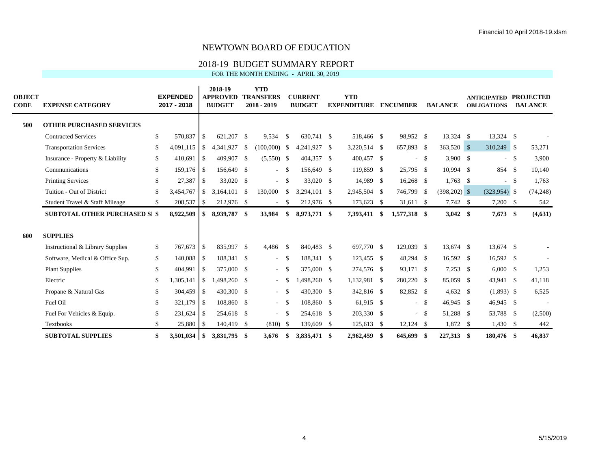## 2018-19 BUDGET SUMMARY REPORT

FOR THE MONTH ENDING - APRIL 30, 2019

| <b>OBJECT</b><br><b>CODE</b> | <b>EXPENSE CATEGORY</b>               |     | <b>EXPENDED</b><br>2017 - 2018 |                  | 2018-19<br><b>APPROVED</b><br><b>BUDGET</b> |      | <b>YTD</b><br><b>TRANSFERS</b><br>$2018 - 2019$ |                    | <b>CURRENT</b><br><b>BUDGET</b> | <b>YTD</b><br><b>EXPENDITURE</b> |      | <b>ENCUMBER</b> |        | <b>BALANCE</b> | <b>ANTICIPATED PROJECTED</b><br><b>OBLIGATIONS</b> |               | <b>BALANCE</b> |
|------------------------------|---------------------------------------|-----|--------------------------------|------------------|---------------------------------------------|------|-------------------------------------------------|--------------------|---------------------------------|----------------------------------|------|-----------------|--------|----------------|----------------------------------------------------|---------------|----------------|
| 500                          | <b>OTHER PURCHASED SERVICES</b>       |     |                                |                  |                                             |      |                                                 |                    |                                 |                                  |      |                 |        |                |                                                    |               |                |
|                              | <b>Contracted Services</b>            | \$  | 570,837                        | <b>S</b>         | 621,207 \$                                  |      | 9,534                                           | -S                 | 630,741 \$                      | 518,466 \$                       |      | 98,952 \$       |        | $13,324$ \$    | 13,324 \$                                          |               |                |
|                              | <b>Transportation Services</b>        | \$  | 4,091,115                      | l \$             | 4,341,927                                   | \$   | $(100,000)$ \$                                  |                    | 4,241,927 \$                    | 3,220,514 \$                     |      | 657,893 \$      |        | 363,520 \$     | 310,249 \$                                         |               | 53,271         |
|                              | Insurance - Property & Liability      | \$  | 410,691                        | l \$             | 409,907                                     | -\$  | $(5,550)$ \$                                    |                    | 404,357 \$                      | 400,457 \$                       |      |                 | $-$ \$ | $3,900$ \$     |                                                    | $-$ \$        | 3,900          |
|                              | Communications                        | \$  | 159,176 \$                     |                  | 156,649 \$                                  |      | $\overline{\phantom{a}}$                        | $\mathbf{s}$       | 156,649 \$                      | 119,859 \$                       |      | 25,795 \$       |        | 10,994 \$      | 854 \$                                             |               | 10,140         |
|                              | <b>Printing Services</b>              | \$  | 27,387                         | l \$             | 33,020 \$                                   |      | $\sim$                                          | $\mathbf{s}$       | 33,020 \$                       | 14,989 \$                        |      | $16,268$ \$     |        | $1,763$ \$     | $\sim$                                             | <sup>\$</sup> | 1,763          |
|                              | Tuition - Out of District             | \$  | 3,454,767                      | <b>S</b>         | 3,164,101                                   | - \$ | 130,000                                         | <sup>\$</sup>      | 3,294,101 \$                    | 2,945,504 \$                     |      | 746,799 \$      |        | $(398,202)$ \$ | $(323,954)$ \$                                     |               | (74, 248)      |
|                              | Student Travel & Staff Mileage        | \$  | 208,537                        | $\mathsf{S}$     | 212,976 \$                                  |      | $\overline{\phantom{a}}$                        | <sup>\$</sup>      | 212,976 \$                      | 173,623 \$                       |      | $31,611$ \$     |        | $7,742$ \$     | $7,200$ \$                                         |               | 542            |
|                              | <b>SUBTOTAL OTHER PURCHASED SI \$</b> |     | 8,922,509                      | \$               | 8,939,787 \$                                |      | 33,984                                          | \$                 | 8,973,771 \$                    | 7,393,411                        | \$   | 1,577,318 \$    |        | $3,042$ \$     | $7,673$ \$                                         |               | (4,631)        |
| 600                          | <b>SUPPLIES</b>                       |     |                                |                  |                                             |      |                                                 |                    |                                 |                                  |      |                 |        |                |                                                    |               |                |
|                              | Instructional & Library Supplies      | \$  | 767,673                        | l \$             | 835,997 \$                                  |      | 4,486                                           | $\mathbf{\hat{s}}$ | 840,483 \$                      | 697,770 \$                       |      | 129,039 \$      |        | $13,674$ \$    | 13,674 \$                                          |               |                |
|                              | Software, Medical & Office Sup.       | \$  | 140,088                        | $\overline{1}$   | 188,341 \$                                  |      | $\overline{\phantom{a}}$                        | $\mathbf{s}$       | 188,341 \$                      | 123,455 \$                       |      | 48,294 \$       |        | 16,592 \$      | 16,592 \$                                          |               |                |
|                              | <b>Plant Supplies</b>                 | \$  | 404,991                        | l \$             | 375,000 \$                                  |      | $\overline{\phantom{a}}$                        | - \$               | 375,000 \$                      | 274,576 \$                       |      | 93,171 \$       |        | $7,253$ \$     | $6,000$ \$                                         |               | 1,253          |
|                              | Electric                              | \$  | 1,305,141                      | l \$             | 1,498,260 \$                                |      | $\overline{\phantom{a}}$                        | -S                 | 1,498,260 \$                    | 1,132,981 \$                     |      | 280,220 \$      |        | 85,059 \$      | 43,941 \$                                          |               | 41,118         |
|                              | Propane & Natural Gas                 | \$  | 304,459                        | l \$             | 430,300 \$                                  |      | $\overline{\phantom{a}}$                        | - \$               | 430,300 \$                      | 342,816 \$                       |      | 82,852 \$       |        | $4,632$ \$     | $(1,893)$ \$                                       |               | 6,525          |
|                              | Fuel Oil                              | \$  | 321,179                        | $\overline{1}$   | 108,860 \$                                  |      | $-$ \$                                          |                    | 108,860 \$                      | 61,915 \$                        |      |                 | $-$ \$ | 46,945 \$      | 46,945 \$                                          |               |                |
|                              | Fuel For Vehicles & Equip.            | \$  | 231,624                        | $\overline{1}$ s | 254,618 \$                                  |      | $\sim$                                          | <sup>\$</sup>      | 254,618 \$                      | 203,330 \$                       |      |                 | $-$ \$ | 51,288 \$      | 53,788 \$                                          |               | (2,500)        |
|                              | Textbooks                             | \$. | 25,880                         | $\overline{1}$   | 140,419 \$                                  |      | $(810)$ \$                                      |                    | 139,609 \$                      | 125,613                          | - \$ | $12,124$ \$     |        | 1,872 \$       | $1,430$ \$                                         |               | 442            |
|                              | <b>SUBTOTAL SUPPLIES</b>              | \$  | 3,501,034                      | $\overline{1}$   | 3,831,795 \$                                |      | 3,676                                           | \$                 | 3,835,471 \$                    | 2,962,459 \$                     |      | 645,699 \$      |        | 227,313 \$     | 180,476 \$                                         |               | 46,837         |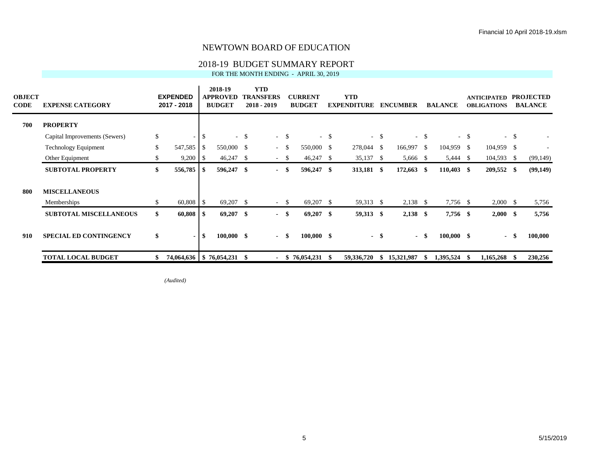# 2018-19 BUDGET SUMMARY REPORT<br>FOR THE MONTH ENDING - APRIL 30, 2019

| FOR THE MONTH ENDING - APRIL 30. 2019 |  |  |  |  |  |  |
|---------------------------------------|--|--|--|--|--|--|
|---------------------------------------|--|--|--|--|--|--|

| <b>OBJECT</b><br><b>CODE</b> | <b>EXPENSE CATEGORY</b>       |              | <b>EXPENDED</b><br>2017 - 2018 |               | 2018-19<br><b>APPROVED</b><br><b>BUDGET</b> |               | <b>YTD</b><br><b>TRANSFERS</b><br>$2018 - 2019$ |      | <b>CURRENT</b><br><b>BUDGET</b> |        | <b>YTD</b><br><b>EXPENDITURE</b> |        | <b>ENCUMBER</b> |        | <b>BALANCE</b> |        | <b>ANTICIPATED</b><br><b>OBLIGATIONS</b> |        | <b>PROJECTED</b><br><b>BALANCE</b> |
|------------------------------|-------------------------------|--------------|--------------------------------|---------------|---------------------------------------------|---------------|-------------------------------------------------|------|---------------------------------|--------|----------------------------------|--------|-----------------|--------|----------------|--------|------------------------------------------|--------|------------------------------------|
| 700                          | <b>PROPERTY</b>               |              |                                |               |                                             |               |                                                 |      |                                 |        |                                  |        |                 |        |                |        |                                          |        |                                    |
|                              | Capital Improvements (Sewers) | $\mathbb{S}$ |                                | <sup>\$</sup> | $\mathcal{L}^{\pm}$                         | <sup>\$</sup> | $-$ \$                                          |      |                                 | $-$ \$ |                                  | $-$ \$ |                 | $-$ \$ |                | $-$ \$ |                                          | $-$ \$ |                                    |
|                              | Technology Equipment          | \$           | 547,585                        | - \$          | 550,000 \$                                  |               | $-$ \$                                          |      | 550,000 \$                      |        | 278,044                          | - \$   | 166,997         | -\$    | 104,959 \$     |        | 104,959 \$                               |        |                                    |
|                              | Other Equipment               | \$           | $9,200$   \$                   |               | 46,247                                      | - S           | $-$ \$                                          |      | $46,247$ \$                     |        | 35,137                           | - \$   | 5,666 \$        |        | 5,444          | - \$   | 104,593                                  | - \$   | (99, 149)                          |
|                              | <b>SUBTOTAL PROPERTY</b>      | \$           | $556,785$ \\$                  |               | 596,247 \$                                  |               | $-$ \$                                          |      | 596,247 \$                      |        | 313,181 \$                       |        | 172,663         | -S     | $110,403$ \$   |        | 209,552 \$                               |        | (99, 149)                          |
| 800                          | <b>MISCELLANEOUS</b>          |              |                                |               |                                             |               |                                                 |      |                                 |        |                                  |        |                 |        |                |        |                                          |        |                                    |
|                              | Memberships                   | \$           | 60,808 \$                      |               | $69,207$ \$                                 |               | $\sim$                                          | -\$  | 69,207 \$                       |        | 59,313 \$                        |        | $2,138$ \$      |        | 7,756 \$       |        | $2,000 \quad$ \$                         |        | 5,756                              |
|                              | <b>SUBTOTAL MISCELLANEOUS</b> | \$           | 60,808                         | -S            | $69,207$ \$                                 |               | $-$ \$                                          |      | $69,207$ \$                     |        | 59,313 \$                        |        | $2,138$ \$      |        | 7,756 \$       |        | $2,000$ \$                               |        | 5,756                              |
| 910                          | <b>SPECIAL ED CONTINGENCY</b> | \$           | $\blacksquare$                 | -\$           | $100,000$ \$                                |               | $\sim$                                          | - \$ | $100,000$ \$                    |        |                                  | - \$   |                 | - \$   | $100,000$ \$   |        | $\blacksquare$                           |        | 100,000                            |
|                              | <b>TOTAL LOCAL BUDGET</b>     | \$           | 74,064,636   \$76,054,231      |               |                                             | - \$          |                                                 | S    | 76,054,231                      |        | 59,336,720                       | S      | 15,321,987      | -S     | 1,395,524      |        | 1,165,268                                | - \$   | 230,256                            |

*(Audited)*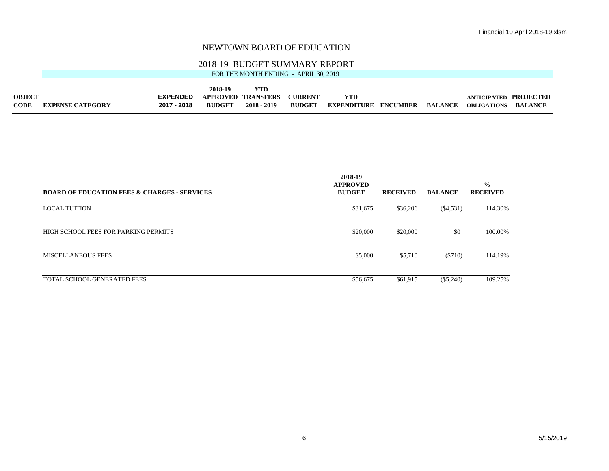#### 2018-19 BUDGET SUMMARY REPORT

FOR THE MONTH ENDING - APRIL 30, 2019

|               |                         |                               | 2018-19       | <b>YTD</b>    |                |                    |          |         |                       |                |
|---------------|-------------------------|-------------------------------|---------------|---------------|----------------|--------------------|----------|---------|-----------------------|----------------|
| <b>OBJECT</b> |                         | EXPENDED   APPROVED TRANSFERS |               |               | <b>CURRENT</b> | <b>YTD</b>         |          |         | ANTICIPATED PROJECTED |                |
| <b>CODE</b>   | <b>EXPENSE CATEGORY</b> | 2017 - 2018                   | <b>BUDGET</b> | $2018 - 2019$ | <b>BUDGET</b>  | <b>EXPENDITURE</b> | ENCUMBER | BALANCE | <b>OBLIGATIONS</b>    | <b>BALANCE</b> |

┯

| <b>BOARD OF EDUCATION FEES &amp; CHARGES - SERVICES</b> | 2018-19<br><b>APPROVED</b><br><b>BUDGET</b> | <b>RECEIVED</b> | <b>BALANCE</b> | $\frac{0}{0}$<br><b>RECEIVED</b> |
|---------------------------------------------------------|---------------------------------------------|-----------------|----------------|----------------------------------|
| <b>LOCAL TUITION</b>                                    | \$31,675                                    | \$36,206        | $(\$4,531)$    | 114.30%                          |
| HIGH SCHOOL FEES FOR PARKING PERMITS                    | \$20,000                                    | \$20,000        | \$0            | 100.00%                          |
| <b>MISCELLANEOUS FEES</b>                               | \$5,000                                     | \$5,710         | ( \$710)       | 114.19%                          |
| TOTAL SCHOOL GENERATED FEES                             | \$56,675                                    | \$61.915        | $(\$5,240)$    | 109.25%                          |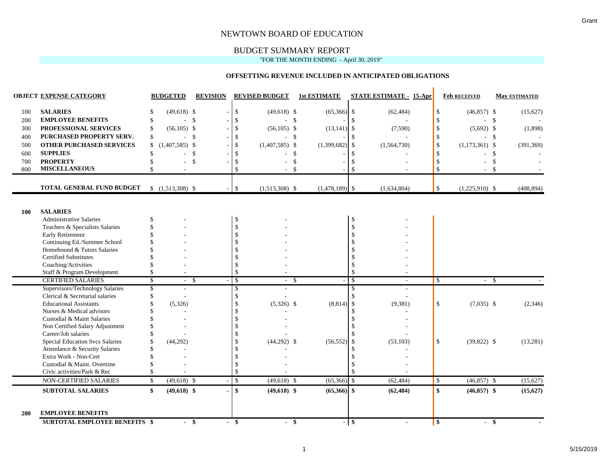### BUDGET SUMMARY REPORT

#### "FOR THE MONTH ENDING - April 30, 2019"

#### **OFFSETTING REVENUE INCLUDED IN ANTICIPATED OBLIGATIONS**

|            | <b>OBJECT EXPENSE CATEGORY</b>                          | <b>BUDGETED</b>          | <b>REVISION</b>            |                         | <b>REVISED BUDGET</b>    |                    | <b>1st ESTIMATE</b> |                                     | <b>STATE ESTIMATE - 15-Apr</b> | <b>Feb RECEIVED</b>                    |               | <b>May ESTIMATED</b> |
|------------|---------------------------------------------------------|--------------------------|----------------------------|-------------------------|--------------------------|--------------------|---------------------|-------------------------------------|--------------------------------|----------------------------------------|---------------|----------------------|
| 100        | <b>SALARIES</b>                                         | $(49,618)$ \$<br>\$      |                            | $\sqrt[6]{\frac{1}{2}}$ | $(49,618)$ \$            |                    | (65, 366)           | -\$                                 | (62, 484)                      | \$<br>$(46,857)$ \$                    |               | (15,627)             |
| 200        | <b>EMPLOYEE BENEFITS</b>                                | \$                       | -\$<br>$\mathcal{L}^{\pm}$ | $\mathcal{S}$           | $-$ \$                   |                    |                     | -\$                                 |                                | $-$ \$<br>\$                           |               |                      |
| 300        | PROFESSIONAL SERVICES                                   | $(56,105)$ \$            |                            | $\mathcal{S}$           | $(56, 105)$ \$           |                    | $(13, 141)$ \$      |                                     | (7,590)                        | \$<br>$(5,692)$ \$                     |               | (1,898)              |
| 400        | PURCHASED PROPERTY SERV.                                | \$                       | -\$<br>$\sim$              | $\mathbf{\hat{s}}$      | $\overline{\phantom{a}}$ | \$                 |                     | $\mathcal{S}$                       |                                | $\mathbf{\hat{S}}$<br>- \$             |               |                      |
| 500        | <b>OTHER PURCHASED SERVICES</b>                         | $(1,407,585)$ \$<br>\$   |                            | $\mathbf{\hat{S}}$      | $(1,407,585)$ \$         |                    | (1,399,682)         | $\mathcal{S}$                       | (1, 564, 730)                  | $\mathbf{\hat{S}}$<br>$(1,173,361)$ \$ |               | (391, 369)           |
| 600        | <b>SUPPLIES</b>                                         | \$                       | $\mathbf{\hat{S}}$         | $\mathbf{\hat{S}}$      |                          | \$                 |                     | <sup>\$</sup>                       |                                | $\mathcal{S}$                          | -\$           |                      |
| 700        | <b>PROPERTY</b>                                         |                          | \$                         | \$                      |                          | $\mathcal{S}$      |                     | <sup>\$</sup>                       |                                | <sup>\$</sup>                          | $\mathcal{S}$ |                      |
| 800        | <b>MISCELLANEOUS</b>                                    |                          | ÷.                         | $\hat{\mathbf{S}}$      | $\sim$                   | $\mathbf{\hat{S}}$ |                     | $\mathcal{S}$                       |                                | $\mathcal{S}$<br>$\sim$                | -\$           |                      |
|            |                                                         |                          |                            |                         |                          |                    |                     |                                     |                                |                                        |               |                      |
|            | TOTAL GENERAL FUND BUDGET                               | $$(1,513,308)$ \\$       |                            | $\mathcal{S}$           | $(1,513,308)$ \$         |                    | $(1,478,189)$ \$    |                                     | (1,634,804)                    | \$<br>$(1,225,910)$ \$                 |               | (408, 894)           |
|            |                                                         |                          |                            |                         |                          |                    |                     |                                     |                                |                                        |               |                      |
| <b>100</b> | <b>SALARIES</b>                                         |                          |                            |                         |                          |                    |                     |                                     |                                |                                        |               |                      |
|            | <b>Administrative Salaries</b>                          | \$                       |                            | \$                      |                          |                    |                     | \$                                  |                                |                                        |               |                      |
|            | Teachers & Specialists Salaries                         |                          |                            | $\mathbf{\hat{S}}$      |                          |                    |                     | \$                                  |                                |                                        |               |                      |
|            | Early Retirement                                        |                          |                            |                         |                          |                    |                     | $\boldsymbol{\mathsf{S}}$           |                                |                                        |               |                      |
|            | Continuing Ed./Summer School                            |                          |                            |                         |                          |                    |                     | \$                                  |                                |                                        |               |                      |
|            | Homebound & Tutors Salaries                             |                          |                            |                         |                          |                    |                     | \$                                  |                                |                                        |               |                      |
|            | <b>Certified Substitutes</b>                            |                          |                            |                         |                          |                    |                     | \$                                  |                                |                                        |               |                      |
|            | Coaching/Activities                                     |                          |                            | $\mathcal{S}$           |                          |                    |                     | $\mathcal{S}$                       |                                |                                        |               |                      |
|            | Staff & Program Development                             | \$                       |                            | \$                      |                          |                    |                     | \$                                  |                                |                                        |               |                      |
|            | <b>CERTIFIED SALARIES</b>                               | \$                       | $\mathcal{S}$              | \$                      | $\overline{\phantom{0}}$ | \$                 |                     | $\overline{\mathcal{S}}$            |                                | \$<br>- \$                             |               |                      |
|            | Supervisors/Technology Salaries                         | $\overline{\mathcal{S}}$ |                            | \$                      |                          |                    |                     | \$                                  |                                |                                        |               |                      |
|            | Clerical & Secretarial salaries                         | \$                       |                            | $\mathcal{S}$           |                          |                    |                     | \$                                  |                                |                                        |               |                      |
|            | <b>Educational Assistants</b>                           | (5,326)                  |                            | $\mathcal{S}$           | $(5,326)$ \$             |                    | (8, 814)            | $\mathcal{S}$                       | (9,381)                        | \$<br>$(7,035)$ \$                     |               | (2,346)              |
|            | Nurses & Medical advisors                               |                          |                            |                         |                          |                    |                     | $\mathcal{S}$                       |                                |                                        |               |                      |
|            | Custodial & Maint Salaries                              |                          |                            |                         |                          |                    |                     | \$                                  |                                |                                        |               |                      |
|            | Non Certified Salary Adjustment                         |                          |                            |                         |                          |                    |                     | <sup>\$</sup>                       |                                |                                        |               |                      |
|            | Career/Job salaries                                     |                          |                            |                         |                          |                    |                     | $\mathcal{S}$                       |                                |                                        |               |                      |
|            | Special Education Svcs Salaries                         | (44, 292)                |                            | $\mathcal{S}$           | $(44,292)$ \$            |                    | (56, 552)           | \$                                  | (53, 103)                      | \$<br>$(39,822)$ \$                    |               | (13,281)             |
|            | Attendance & Security Salaries<br>Extra Work - Non-Cert |                          |                            | $\mathcal{S}$           |                          |                    |                     | $\mathbf{\hat{S}}$<br>$\mathcal{S}$ |                                |                                        |               |                      |
|            | Custodial & Maint. Overtime                             |                          |                            | $\mathcal{S}$           |                          |                    |                     | $\mathcal{S}$                       |                                |                                        |               |                      |
|            | Civic activities/Park & Rec                             | \$.                      |                            | \$                      |                          |                    |                     | \$                                  |                                |                                        |               |                      |
|            |                                                         |                          |                            |                         |                          |                    |                     |                                     |                                |                                        |               |                      |
|            | NON-CERTIFIED SALARIES                                  | $(49,618)$ \$<br>\$      |                            | $\mathcal{S}$           | $(49,618)$ \$            |                    | $(65,366)$ \$       |                                     | (62, 484)                      | $(46,857)$ \$<br>\$                    |               | (15, 627)            |
|            | <b>SUBTOTAL SALARIES</b>                                | $(49,618)$ \$<br>\$      |                            | $\mathbf{s}$            | $(49,618)$ \$            |                    | $(65,366)$ \$       |                                     | (62, 484)                      | \$<br>$(46,857)$ \$                    |               | (15, 627)            |
|            |                                                         |                          |                            |                         |                          |                    |                     |                                     |                                |                                        |               |                      |
| <b>200</b> | <b>EMPLOYEE BENEFITS</b>                                |                          |                            |                         |                          |                    |                     |                                     |                                |                                        |               |                      |
|            | <b>SUBTOTAL EMPLOYEE BENEFITS \$</b>                    |                          | $-$ \$                     | - \$                    | $-$ \$                   |                    |                     | $-$ \$                              | $\blacksquare$                 | $-$ \$<br>\$                           |               |                      |